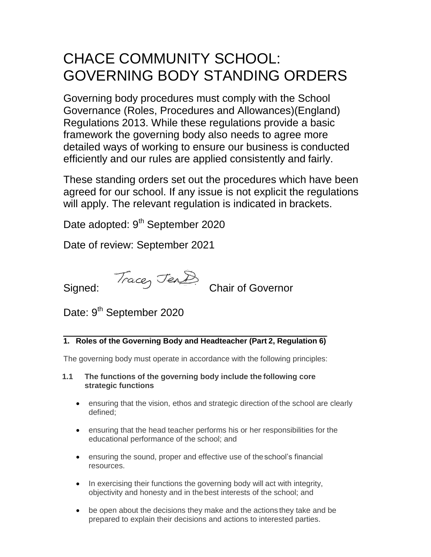# CHACE COMMUNITY SCHOOL: GOVERNING BODY STANDING ORDERS

Governing body procedures must comply with the School Governance (Roles, Procedures and Allowances)(England) Regulations 2013. While these regulations provide a basic framework the governing body also needs to agree more detailed ways of working to ensure our business is conducted efficiently and our rules are applied consistently and fairly.

These standing orders set out the procedures which have been agreed for our school. If any issue is not explicit the regulations will apply. The relevant regulation is indicated in brackets.

Date adopted: 9<sup>th</sup> September 2020

Date of review: September 2021



Date: 9<sup>th</sup> September 2020

# **1. Roles of the Governing Body and Headteacher (Part 2, Regulation 6)**

The governing body must operate in accordance with the following principles:

- **1.1 The functions of the governing body include the following core strategic functions**
	- ensuring that the vision, ethos and strategic direction of the school are clearly defined;
	- ensuring that the head teacher performs his or her responsibilities for the educational performance of the school; and
	- ensuring the sound, proper and effective use of theschool's financial resources.
	- In exercising their functions the governing body will act with integrity, objectivity and honesty and in thebest interests of the school; and
	- be open about the decisions they make and the actions they take and be prepared to explain their decisions and actions to interested parties.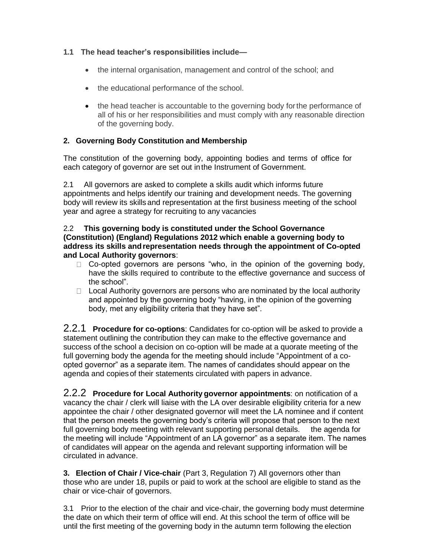## **1.1 The head teacher's responsibilities include—**

- the internal organisation, management and control of the school; and
- the educational performance of the school.
- the head teacher is accountable to the governing body for the performance of all of his or her responsibilities and must comply with any reasonable direction of the governing body.

# **2. Governing Body Constitution and Membership**

The constitution of the governing body, appointing bodies and terms of office for each category of governor are set out inthe Instrument of Government.

2.1 All governors are asked to complete a skills audit which informs future appointments and helps identify our training and development needs. The governing body will review its skills and representation at the first business meeting of the school year and agree a strategy for recruiting to any vacancies

#### 2.2 **This governing body is constituted under the School Governance (Constitution) (England) Regulations 2012 which enable a governing body to address its skills andrepresentation needs through the appointment of Co-opted and Local Authority governors**:

- $\Box$  Co-opted governors are persons "who, in the opinion of the governing body, have the skills required to contribute to the effective governance and success of the school".
- $\Box$  Local Authority governors are persons who are nominated by the local authority and appointed by the governing body "having, in the opinion of the governing body, met any eligibility criteria that they have set".

2.2.1 **Procedure for co-options**: Candidates for co-option will be asked to provide a statement outlining the contribution they can make to the effective governance and success of the school a decision on co-option will be made at a quorate meeting of the full governing body the agenda for the meeting should include "Appointment of a coopted governor" as a separate item. The names of candidates should appear on the agenda and copiesof their statements circulated with papers in advance.

2.2.2 **Procedure for Local Authority governor appointments**: on notification of a vacancy the chair / clerk will liaise with the LA over desirable eligibility criteria for a new appointee the chair / other designated governor will meet the LA nominee and if content that the person meets the governing body's criteria will propose that person to the next full governing body meeting with relevant supporting personal details. the agenda for the meeting will include "Appointment of an LA governor" as a separate item. The names of candidates will appear on the agenda and relevant supporting information will be circulated in advance.

**3. Election of Chair / Vice-chair** (Part 3, Regulation 7) All governors other than those who are under 18, pupils or paid to work at the school are eligible to stand as the chair or vice-chair of governors.

3.1 Prior to the election of the chair and vice-chair, the governing body must determine the date on which their term of office will end. At this school the term of office will be until the first meeting of the governing body in the autumn term following the election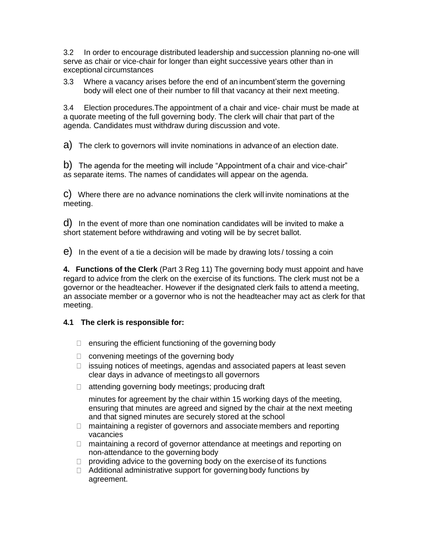3.2 In order to encourage distributed leadership and succession planning no-one will serve as chair or vice-chair for longer than eight successive years other than in exceptional circumstances

3.3 Where a vacancy arises before the end of an incumbent'sterm the governing body will elect one of their number to fill that vacancy at their next meeting.

3.4 Election procedures.The appointment of a chair and vice- chair must be made at a quorate meeting of the full governing body. The clerk will chair that part of the agenda. Candidates must withdraw during discussion and vote.

a) The clerk to governors will invite nominations in advance of an election date.

b) The agenda for the meeting will include "Appointment of a chair and vice-chair" as separate items. The names of candidates will appear on the agenda.

c) Where there are no advance nominations the clerk will invite nominations at the meeting.

d) In the event of more than one nomination candidates will be invited to make a short statement before withdrawing and voting will be by secret ballot.

e) In the event of a tie a decision will be made by drawing lots / tossing a coin

**4. Functions of the Clerk** (Part 3 Reg 11) The governing body must appoint and have regard to advice from the clerk on the exercise of its functions. The clerk must not be a governor or the headteacher. However if the designated clerk fails to attend a meeting, an associate member or a governor who is not the headteacher may act as clerk for that meeting.

## **4.1 The clerk is responsible for:**

- $\Box$  ensuring the efficient functioning of the governing body
- $\Box$  convening meetings of the governing body
- $\Box$  issuing notices of meetings, agendas and associated papers at least seven clear days in advance of meetingsto all governors
- $\Box$  attending governing body meetings; producing draft

minutes for agreement by the chair within 15 working days of the meeting, ensuring that minutes are agreed and signed by the chair at the next meeting and that signed minutes are securely stored at the school

- $\Box$  maintaining a register of governors and associate members and reporting vacancies
- □ maintaining a record of governor attendance at meetings and reporting on non-attendance to the governing body
- $\Box$  providing advice to the governing body on the exercise of its functions
- $\Box$  Additional administrative support for governing body functions by agreement.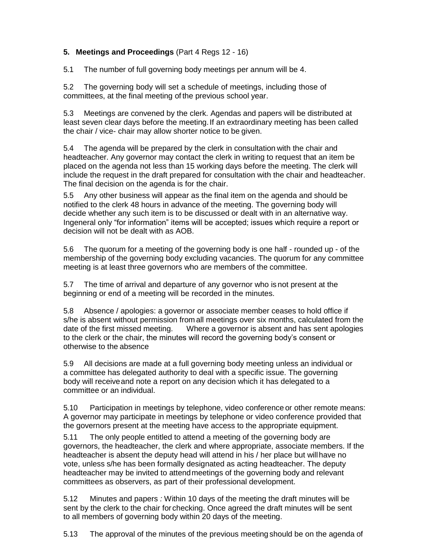## **5. Meetings and Proceedings** (Part 4 Regs 12 - 16)

5.1 The number of full governing body meetings per annum will be 4.

5.2 The governing body will set a schedule of meetings, including those of committees, at the final meeting of the previous school year.

5.3 Meetings are convened by the clerk. Agendas and papers will be distributed at least seven clear days before the meeting.If an extraordinary meeting has been called the chair / vice- chair may allow shorter notice to be given.

5.4 The agenda will be prepared by the clerk in consultation with the chair and headteacher. Any governor may contact the clerk in writing to request that an item be placed on the agenda not less than 15 working days before the meeting. The clerk will include the request in the draft prepared for consultation with the chair and headteacher. The final decision on the agenda is for the chair.

5.5 Any other business will appear as the final item on the agenda and should be notified to the clerk 48 hours in advance of the meeting. The governing body will decide whether any such item is to be discussed or dealt with in an alternative way. Ingeneral only "for information" items will be accepted; issues which require a report or decision will not be dealt with as AOB.

5.6 The quorum for a meeting of the governing body is one half - rounded up - of the membership of the governing body excluding vacancies. The quorum for any committee meeting is at least three governors who are members of the committee.

5.7 The time of arrival and departure of any governor who is not present at the beginning or end of a meeting will be recorded in the minutes.

5.8 Absence / apologies: a governor or associate member ceases to hold office if s/he is absent without permission from all meetings over six months, calculated from the date of the first missed meeting. Where a governor is absent and has sent apologies to the clerk or the chair, the minutes will record the governing body's consent or otherwise to the absence

5.9 All decisions are made at a full governing body meeting unless an individual or a committee has delegated authority to deal with a specific issue. The governing body will receiveand note a report on any decision which it has delegated to a committee or an individual.

5.10 Participation in meetings by telephone, video conference or other remote means: A governor may participate in meetings by telephone or video conference provided that the governors present at the meeting have access to the appropriate equipment.

5.11 The only people entitled to attend a meeting of the governing body are governors, the headteacher, the clerk and where appropriate, associate members. If the headteacher is absent the deputy head will attend in his / her place but willhave no vote, unless s/he has been formally designated as acting headteacher. The deputy headteacher may be invited to attendmeetings of the governing body and relevant committees as observers, as part of their professional development.

5.12 Minutes and papers *:* Within 10 days of the meeting the draft minutes will be sent by the clerk to the chair for checking. Once agreed the draft minutes will be sent to all members of governing body within 20 days of the meeting.

5.13 The approval of the minutes of the previous meeting should be on the agenda of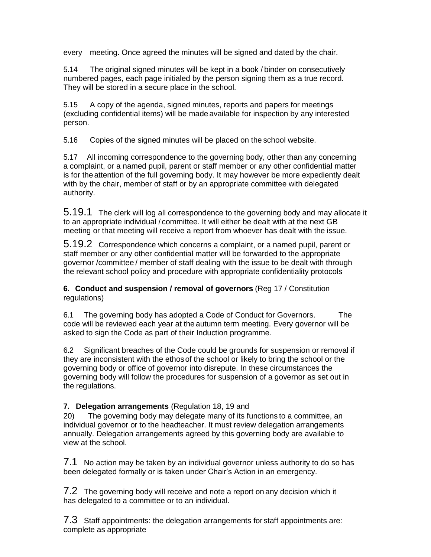every meeting. Once agreed the minutes will be signed and dated by the chair.

5.14 The original signed minutes will be kept in a book / binder on consecutively numbered pages, each page initialed by the person signing them as a true record. They will be stored in a secure place in the school.

5.15 A copy of the agenda, signed minutes, reports and papers for meetings (excluding confidential items) will be made available for inspection by any interested person.

5.16 Copies of the signed minutes will be placed on the school website.

5.17 All incoming correspondence to the governing body, other than any concerning a complaint, or a named pupil, parent or staff member or any other confidential matter is for the attention of the full governing body. It may however be more expediently dealt with by the chair, member of staff or by an appropriate committee with delegated authority.

5.19.1 The clerk will log all correspondence to the governing body and may allocate it to an appropriate individual / committee. It will either be dealt with at the next GB meeting or that meeting will receive a report from whoever has dealt with the issue.

5.19.2 Correspondence which concerns a complaint, or a named pupil, parent or staff member or any other confidential matter will be forwarded to the appropriate governor /committee / member of staff dealing with the issue to be dealt with through the relevant school policy and procedure with appropriate confidentiality protocols

**6. Conduct and suspension / removal of governors** (Reg 17 / Constitution regulations)

6.1 The governing body has adopted a Code of Conduct for Governors. The code will be reviewed each year at the autumn term meeting. Every governor will be asked to sign the Code as part of their Induction programme.

6.2 Significant breaches of the Code could be grounds for suspension or removal if they are inconsistent with the ethosof the school or likely to bring the school or the governing body or office of governor into disrepute. In these circumstances the governing body will follow the procedures for suspension of a governor as set out in the regulations.

**7. Delegation arrangements** (Regulation 18, 19 and

20) The governing body may delegate many of its functions to a committee, an individual governor or to the headteacher. It must review delegation arrangements annually. Delegation arrangements agreed by this governing body are available to view at the school.

7.1 No action may be taken by an individual governor unless authority to do so has been delegated formally or is taken under Chair's Action in an emergency.

7.2 The governing body will receive and note a report on any decision which it has delegated to a committee or to an individual.

7.3 Staff appointments: the delegation arrangements for staff appointments are: complete as appropriate